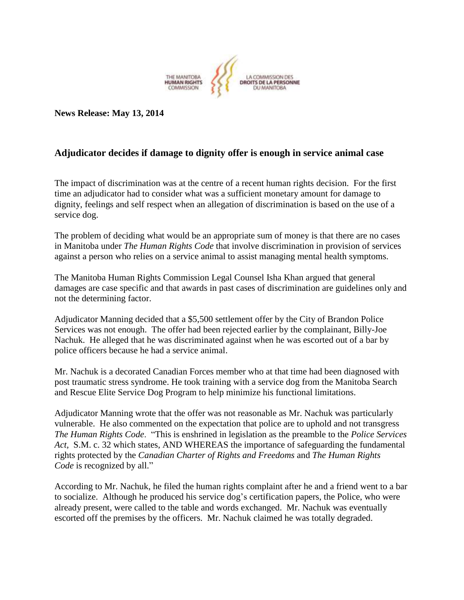

**News Release: May 13, 2014**

## **Adjudicator decides if damage to dignity offer is enough in service animal case**

The impact of discrimination was at the centre of a recent human rights decision. For the first time an adjudicator had to consider what was a sufficient monetary amount for damage to dignity, feelings and self respect when an allegation of discrimination is based on the use of a service dog.

The problem of deciding what would be an appropriate sum of money is that there are no cases in Manitoba under *The Human Rights Code* that involve discrimination in provision of services against a person who relies on a service animal to assist managing mental health symptoms.

The Manitoba Human Rights Commission Legal Counsel Isha Khan argued that general damages are case specific and that awards in past cases of discrimination are guidelines only and not the determining factor.

Adjudicator Manning decided that a \$5,500 settlement offer by the City of Brandon Police Services was not enough. The offer had been rejected earlier by the complainant, Billy-Joe Nachuk. He alleged that he was discriminated against when he was escorted out of a bar by police officers because he had a service animal.

Mr. Nachuk is a decorated Canadian Forces member who at that time had been diagnosed with post traumatic stress syndrome. He took training with a service dog from the Manitoba Search and Rescue Elite Service Dog Program to help minimize his functional limitations.

Adjudicator Manning wrote that the offer was not reasonable as Mr. Nachuk was particularly vulnerable. He also commented on the expectation that police are to uphold and not transgress *The Human Rights Code*. "This is enshrined in legislation as the preamble to the *Police Services Act,* S.M. c. 32 which states, AND WHEREAS the importance of safeguarding the fundamental rights protected by the *Canadian Charter of Rights and Freedoms* and *The Human Rights Code* is recognized by all."

According to Mr. Nachuk, he filed the human rights complaint after he and a friend went to a bar to socialize. Although he produced his service dog's certification papers, the Police, who were already present, were called to the table and words exchanged. Mr. Nachuk was eventually escorted off the premises by the officers. Mr. Nachuk claimed he was totally degraded.